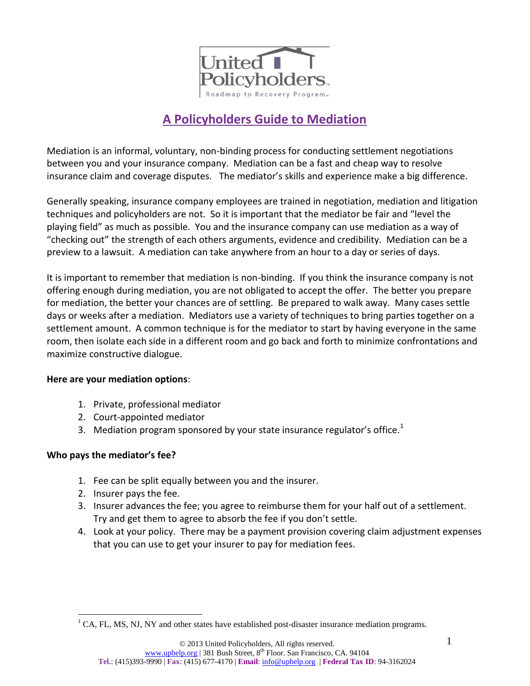

# **A Policyholders Guide to Mediation**

Mediation is an informal, voluntary, non-binding process for conducting settlement negotiations between you and your insurance company. Mediation can be a fast and cheap way to resolve insurance claim and coverage disputes. The mediator's skills and experience make a big difference.

Generally speaking, insurance company employees are trained in negotiation, mediation and litigation techniques and policyholders are not. So it is important that the mediator be fair and "level the playing field" as much as possible. You and the insurance company can use mediation as a way of "checking out" the strength of each others arguments, evidence and credibility. Mediation can be a preview to a lawsuit. A mediation can take anywhere from an hour to a day or series of days.

It is important to remember that mediation is non-binding. If you think the insurance company is not offering enough during mediation, you are not obligated to accept the offer. The better you prepare for mediation, the better your chances are of settling. Be prepared to walk away. Many cases settle days or weeks after a mediation. Mediators use a variety of techniques to bring parties together on a settlement amount. A common technique is for the mediator to start by having everyone in the same room, then isolate each side in a different room and go back and forth to minimize confrontations and maximize constructive dialogue.

#### **Here are your mediation options**:

- 1. Private, professional mediator
- 2. Court-appointed mediator
- 3. Mediation program sponsored by your state insurance regulator's office.<sup>1</sup>

## **Who pays the mediator's fee?**

- 1. Fee can be split equally between you and the insurer.
- 2. Insurer pays the fee.
- 3. Insurer advances the fee; you agree to reimburse them for your half out of a settlement. Try and get them to agree to absorb the fee if you don't settle.
- 4. Look at your policy. There may be a payment provision covering claim adjustment expenses that you can use to get your insurer to pay for mediation fees.

 $\overline{a}$  $<sup>1</sup>$  CA, FL, MS, NJ, NY and other states have established post-disaster insurance mediation programs.</sup>